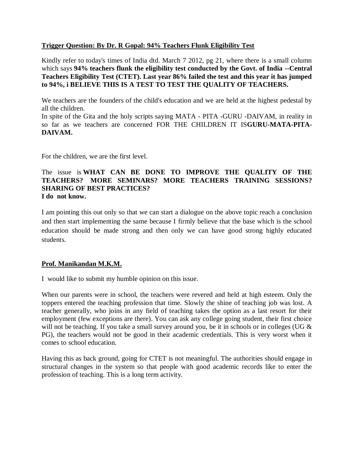### **Trigger Question: By Dr. R Gopal: 94% Teachers Flunk Eligibility Test**

Kindly refer to today's times of India dtd. March 7 2012, pg 21, where there is a small column which says **94% teachers flunk the eligibility test conducted by the Govt. of India --Central Teachers Eligibility Test (CTET). Last year 86% failed the test and this year it has jumped to 94%, i BELIEVE THIS IS A TEST TO TEST THE QUALITY OF TEACHERS.**

We teachers are the founders of the child's education and we are held at the highest pedestal by all the children.

In spite of the Gita and the holy scripts saying MATA - PITA -GURU -DAIVAM, in reality in so far as we teachers are concerned FOR THE CHILDREN IT IS**GURU-MATA-PITA-DAIVAM.**

For the children, we are the first level.

#### The issue is **WHAT CAN BE DONE TO IMPROVE THE QUALITY OF THE TEACHERS? MORE SEMINARS? MORE TEACHERS TRAINING SESSIONS? SHARING OF BEST PRACTICES? I do not know.**

I am pointing this out only so that we can start a dialogue on the above topic reach a conclusion and then start implementing the same because I firmly believe that the base which is the school education should be made strong and then only we can have good strong highly educated students.

#### **Prof. Manikandan M.K.M.**

I would like to submit my humble opinion on this issue.

When our parents were in school, the teachers were revered and held at high esteem. Only the toppers entered the teaching profession that time. Slowly the shine of teaching job was lost. A teacher generally, who joins in any field of teaching takes the option as a last resort for their employment (few exceptions are there). You can ask any college going student, their first choice will not be teaching. If you take a small survey around you, be it in schools or in colleges (UG & PG), the teachers would not be good in their academic credentials. This is very worst when it comes to school education.

Having this as back ground, going for CTET is not meaningful. The authorities should engage in structural changes in the system so that people with good academic records like to enter the profession of teaching. This is a long term activity.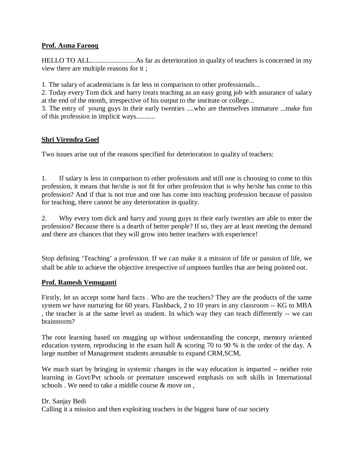### **Prof. Asma Farooq**

HELLO TO ALL..........................As far as deterioration in quality of teachers is concerned in my view there are multiple reasons for it ;

1. The salary of academicians is far less in comparison to other professionals...

2. Today every Tom dick and harry treats teaching as an easy going job with assurance of salary at the end of the month, irrespective of his output to the institute or college...

3. The entry of young guys in their early twenties ....who are themselves immature ...make fun of this profession in implicit ways...........

# **Shri Virendra Goel**

Two issues arise out of the reasons specified for deterioration in quality of teachers:

1. If salary is less in comparison to other professions and still one is choosing to come to this profession, it means that he/she is not fit for other profession that is why he/she has come to this profession? And if that is not true and one has come into teaching profession because of passion for teaching, there cannot be any deterioration in quality.

2. Why every tom dick and harry and young guys in their early twenties are able to enter the profession? Because there is a dearth of better people? If so, they are at least meeting the demand and there are chances that they will grow into better teachers with experience!

Stop defining 'Teaching' a profession. If we can make it a mission of life or passion of life, we shall be able to achieve the objective irrespective of umpteen hurdles that are being pointed out.

#### **Prof. Ramesh Vemuganti**

Firstly, let us accept some hard facts . Who are the teachers? They are the products of the same system we have nurturing for 60 years. Flashback, 2 to 10 years in any classroom -- KG to MBA , the teacher is at the same level as student. In which way they can teach differently -- we can brainstorm?

The rote learning based on mugging up without understanding the concept, memory oriented education system, reproducing in the exam hall & scoring 70 to 90 % is the order of the day. A large number of Management students areunable to expand CRM,SCM,

We much start by bringing in systemic changes in the way education is imparted -- neither rote learning in Govt/Pvt schools or premature unscewed emphasis on soft skills in International schools . We need to take a middle course & move on ,

#### Dr. Sanjay Bedi

Calling it a mission and then exploiting teachers in the biggest bane of our society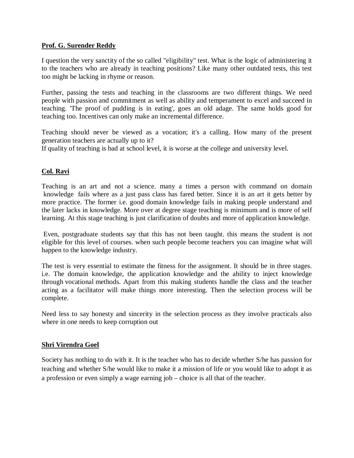#### **Prof. G. Surender Reddy**

I question the very sanctity of the so called "eligibility" test. What is the logic of administering it to the teachers who are already in teaching positions? Like many other outdated tests, this test too might be lacking in rhyme or reason.

Further, passing the tests and teaching in the classrooms are two different things. We need people with passion and commitment as well as ability and temperament to excel and succeed in teaching. 'The proof of pudding is in eating', goes an old adage. The same holds good for teaching too. Incentives can only make an incremental difference.

Teaching should never be viewed as a vocation; it's a calling. How many of the present generation teachers are actually up to it?

If quality of teaching is bad at school level, it is worse at the college and university level.

# **Col. Ravi**

Teaching is an art and not a science. many a times a person with command on domain knowledge fails where as a just pass class has fared better. Since it is an art it gets better by more practice. The former i.e. good domain knowledge fails in making people understand and the later lacks in knowledge. More over at degree stage teaching is minimum and is more of self learning. At this stage teaching is just clarification of doubts and more of application knowledge.

Even, postgraduate students say that this has not been taught. this means the student is not eligible for this level of courses. when such people become teachers you can imagine what will happen to the knowledge industry.

The test is very essential to estimate the fitness for the assignment. It should be in three stages. i.e. The domain knowledge, the application knowledge and the ability to inject knowledge through vocational methods. Apart from this making students handle the class and the teacher acting as a facilitator will make things more interesting. Then the selection process will be complete.

Need less to say honesty and sincerity in the selection process as they involve practicals also where in one needs to keep corruption out

# **Shri Virendra Goel**

Society has nothing to do with it. It is the teacher who has to decide whether S/he has passion for teaching and whether S/he would like to make it a mission of life or you would like to adopt it as a profession or even simply a wage earning job – choice is all that of the teacher.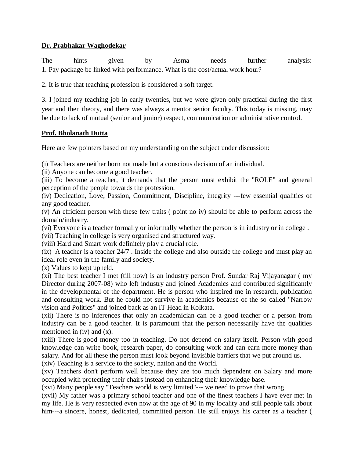# **Dr. Prabhakar Waghodekar**

The hints given by Asma needs further analysis: 1. Pay package be linked with performance. What is the cost/actual work hour?

2. It is true that teaching profession is considered a soft target.

3. I joined my teaching job in early twenties, but we were given only practical during the first year and then theory, and there was always a mentor senior faculty. This today is missing, may be due to lack of mutual (senior and junior) respect, communication or administrative control.

# **Prof. Bholanath Dutta**

Here are few pointers based on my understanding on the subject under discussion:

(i) Teachers are neither born not made but a conscious decision of an individual.

(ii) Anyone can become a good teacher.

(iii) To become a teacher, it demands that the person must exhibit the "ROLE" and general perception of the people towards the profession.

(iv) Dedication, Love, Passion, Commitment, Discipline, integrity ---few essential qualities of any good teacher.

(v) An efficient person with these few traits ( point no iv) should be able to perform across the domain/industry.

(vi) Everyone is a teacher formally or informally whether the person is in industry or in college .

(vii) Teaching in college is very organised and structured way.

(viii) Hard and Smart work definitely play a crucial role.

(ix) A teacher is a teacher 24/7 . Inside the college and also outside the college and must play an ideal role even in the family and society.

(x) Values to kept upheld.

(xi) The best teacher I met (till now) is an industry person Prof. Sundar Raj Vijayanagar ( my Director during 2007-08) who left industry and joined Academics and contributed significantly in the developmental of the department. He is person who inspired me in research, publication and consulting work. But he could not survive in academics because of the so called "Narrow vision and Politics" and joined back as an IT Head in Kolkata.

(xii) There is no inferences that only an academician can be a good teacher or a person from industry can be a good teacher. It is paramount that the person necessarily have the qualities mentioned in (iv) and (x).

(xiii) There is good money too in teaching. Do not depend on salary itself. Person with good knowledge can write book, research paper, do consulting work and can earn more money than salary. And for all these the person must look beyond invisible barriers that we put around us.

(xiv) Teaching is a service to the society, nation and the World.

(xv) Teachers don't perform well because they are too much dependent on Salary and more occupied with protecting their chairs instead on enhancing their knowledge base.

(xvi) Many people say "Teachers world is very limited"--- we need to prove that wrong.

(xvii) My father was a primary school teacher and one of the finest teachers I have ever met in my life. He is very respected even now at the age of 90 in my locality and still people talk about him---a sincere, honest, dedicated, committed person. He still enjoys his career as a teacher (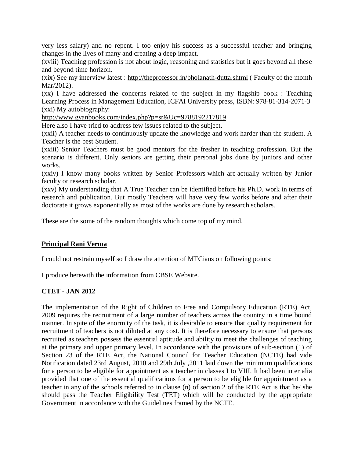very less salary) and no repent. I too enjoy his success as a successful teacher and bringing changes in the lives of many and creating a deep impact.

(xviii) Teaching profession is not about logic, reasoning and statistics but it goes beyond all these and beyond time horizon.

(xix) See my interview latest : http://theprofessor.in/bholanath-dutta.shtml ( Faculty of the month Mar/2012).

(xx) I have addressed the concerns related to the subject in my flagship book : Teaching Learning Process in Management Education, ICFAI University press, ISBN: 978-81-314-2071-3 (xxi) My autobiography:

http://www.gyanbooks.com/index.php?p=sr&Uc=9788192217819

Here also I have tried to address few issues related to the subject.

(xxii) A teacher needs to continuously update the knowledge and work harder than the student. A Teacher is the best Student.

(xxiii) Senior Teachers must be good mentors for the fresher in teaching profession. But the scenario is different. Only seniors are getting their personal jobs done by juniors and other works.

(xxiv) I know many books written by Senior Professors which are actually written by Junior faculty or research scholar.

(xxv) My understanding that A True Teacher can be identified before his Ph.D. work in terms of research and publication. But mostly Teachers will have very few works before and after their doctorate it grows exponentially as most of the works are done by research scholars.

These are the some of the random thoughts which come top of my mind.

#### **Principal Rani Verma**

I could not restrain myself so I draw the attention of MTCians on following points:

I produce herewith the information from CBSE Website.

#### **CTET - JAN 2012**

The implementation of the Right of Children to Free and Compulsory Education (RTE) Act, 2009 requires the recruitment of a large number of teachers across the country in a time bound manner. In spite of the enormity of the task, it is desirable to ensure that quality requirement for recruitment of teachers is not diluted at any cost. It is therefore necessary to ensure that persons recruited as teachers possess the essential aptitude and ability to meet the challenges of teaching at the primary and upper primary level. In accordance with the provisions of sub-section (1) of Section 23 of the RTE Act, the National Council for Teacher Education (NCTE) had vide Notification dated 23rd August, 2010 and 29th July ,2011 laid down the minimum qualifications for a person to be eligible for appointment as a teacher in classes I to VIII. It had been inter alia provided that one of the essential qualifications for a person to be eligible for appointment as a teacher in any of the schools referred to in clause (n) of section 2 of the RTE Act is that he/ she should pass the Teacher Eligibility Test (TET) which will be conducted by the appropriate Government in accordance with the Guidelines framed by the NCTE.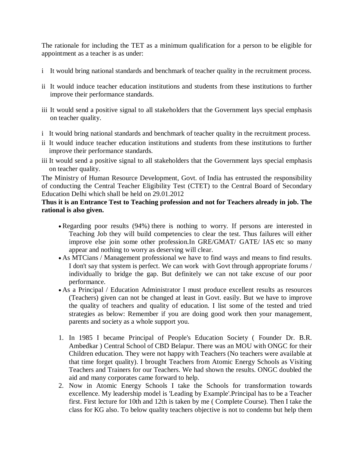The rationale for including the TET as a minimum qualification for a person to be eligible for appointment as a teacher is as under:

- i It would bring national standards and benchmark of teacher quality in the recruitment process.
- ii It would induce teacher education institutions and students from these institutions to further improve their performance standards.
- iii It would send a positive signal to all stakeholders that the Government lays special emphasis on teacher quality.
- i It would bring national standards and benchmark of teacher quality in the recruitment process.
- ii It would induce teacher education institutions and students from these institutions to further improve their performance standards.
- iii It would send a positive signal to all stakeholders that the Government lays special emphasis on teacher quality.

The Ministry of Human Resource Development, Govt. of India has entrusted the responsibility of conducting the Central Teacher Eligibility Test (CTET) to the Central Board of Secondary Education Delhi which shall be held on 29.01.2012

# **Thus it is an Entrance Test to Teaching profession and not for Teachers already in job. The rational is also given.**

- Regarding poor results (94%) there is nothing to worry. If persons are interested in Teaching Job they will build competencies to clear the test. Thus failures will either improve else join some other profession.In GRE/GMAT/ GATE/ IAS etc so many appear and nothing to worry as deserving will clear.
- As MTCians / Management professional we have to find ways and means to find results. I don't say that system is perfect. We can work with Govt through appropriate forums / individually to bridge the gap. But definitely we can not take excuse of our poor performance.
- As a Principal / Education Administrator I must produce excellent results as resources (Teachers) given can not be changed at least in Govt. easily. But we have to improve the quality of teachers and quality of education. I list some of the tested and tried strategies as below: Remember if you are doing good work then your management, parents and society as a whole support you.
- 1. In 1985 I became Principal of People's Education Society ( Founder Dr. B.R. Ambedkar ) Central School of CBD Belapur. There was an MOU with ONGC for their Children education. They were not happy with Teachers (No teachers were available at that time forget quality). I brought Teachers from Atomic Energy Schools as Visiting Teachers and Trainers for our Teachers. We had shown the results. ONGC doubled the aid and many corporates came forward to help.
- 2. Now in Atomic Energy Schools I take the Schools for transformation towards excellence. My leadership model is 'Leading by Example'.Principal has to be a Teacher first. First lecture for 10th and 12th is taken by me ( Complete Course). Then I take the class for KG also. To below quality teachers objective is not to condemn but help them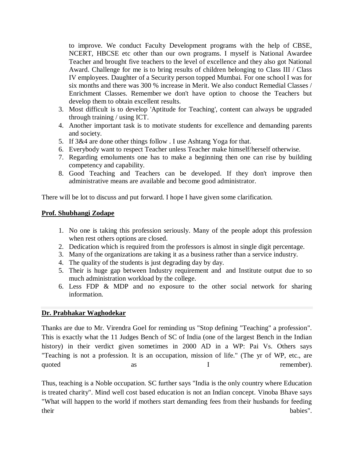to improve. We conduct Faculty Development programs with the help of CBSE, NCERT, HBCSE etc other than our own programs. I myself is National Awardee Teacher and brought five teachers to the level of excellence and they also got National Award. Challenge for me is to bring results of children belonging to Class III / Class IV employees. Daughter of a Security person topped Mumbai. For one school I was for six months and there was 300 % increase in Merit. We also conduct Remedial Classes / Enrichment Classes. Remember we don't have option to choose the Teachers but develop them to obtain excellent results.

- 3. Most difficult is to develop 'Aptitude for Teaching', content can always be upgraded through training / using ICT.
- 4. Another important task is to motivate students for excellence and demanding parents and society.
- 5. If 3&4 are done other things follow . I use Ashtang Yoga for that.
- 6. Everybody want to respect Teacher unless Teacher make himself/herself otherwise.
- 7. Regarding emoluments one has to make a beginning then one can rise by building competency and capability.
- 8. Good Teaching and Teachers can be developed. If they don't improve then administrative means are available and become good administrator.

There will be lot to discuss and put forward. I hope I have given some clarification.

# **Prof. Shubhangi Zodape**

- 1. No one is taking this profession seriously. Many of the people adopt this profession when rest others options are closed.
- 2. Dedication which is required from the professors is almost in single digit percentage.
- 3. Many of the organizations are taking it as a business rather than a service industry.
- 4. The quality of the students is just degrading day by day.
- 5. Their is huge gap between Industry requirement and and Institute output due to so much administration workload by the college.
- 6. Less FDP & MDP and no exposure to the other social network for sharing information.

# **Dr. Prabhakar Waghodekar**

Thanks are due to Mr. Virendra Goel for reminding us "Stop defining "Teaching" a profession". This is exactly what the 11 Judges Bench of SC of India (one of the largest Bench in the Indian history) in their verdict given sometimes in 2000 AD in a WP: Pai Vs. Others says "Teaching is not a profession. It is an occupation, mission of life." (The yr of WP, etc., are quoted as as I remember).

Thus, teaching is a Noble occupation. SC further says "India is the only country where Education is treated charity". Mind well cost based education is not an Indian concept. Vinoba Bhave says "What will happen to the world if mothers start demanding fees from their husbands for feeding their babies".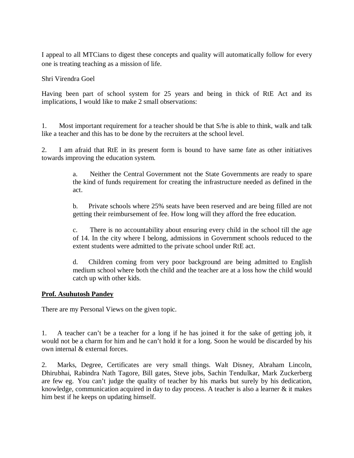I appeal to all MTCians to digest these concepts and quality will automatically follow for every one is treating teaching as a mission of life.

Shri Virendra Goel

Having been part of school system for 25 years and being in thick of RtE Act and its implications, I would like to make 2 small observations:

1. Most important requirement for a teacher should be that S/he is able to think, walk and talk like a teacher and this has to be done by the recruiters at the school level.

2. I am afraid that RtE in its present form is bound to have same fate as other initiatives towards improving the education system.

> a. Neither the Central Government not the State Governments are ready to spare the kind of funds requirement for creating the infrastructure needed as defined in the act.

> b. Private schools where 25% seats have been reserved and are being filled are not getting their reimbursement of fee. How long will they afford the free education.

> c. There is no accountability about ensuring every child in the school till the age of 14. In the city where I belong, admissions in Government schools reduced to the extent students were admitted to the private school under RtE act.

> d. Children coming from very poor background are being admitted to English medium school where both the child and the teacher are at a loss how the child would catch up with other kids.

#### **Prof. Asuhutosh Pandey**

There are my Personal Views on the given topic.

1. A teacher can't be a teacher for a long if he has joined it for the sake of getting job, it would not be a charm for him and he can't hold it for a long. Soon he would be discarded by his own internal & external forces.

2. Marks, Degree, Certificates are very small things. Walt Disney, Abraham Lincoln, Dhirubhai, Rabindra Nath Tagore, Bill gates, Steve jobs, Sachin Tendulkar, Mark Zuckerberg are few eg. You can't judge the quality of teacher by his marks but surely by his dedication, knowledge, communication acquired in day to day process. A teacher is also a learner  $\&$  it makes him best if he keeps on updating himself.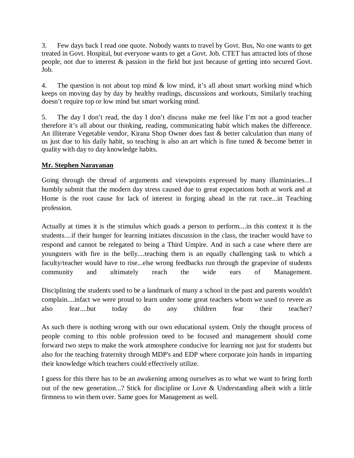3. Few days back I read one quote. Nobody wants to travel by Govt. Bus, No one wants to get treated in Govt. Hospital, but everyone wants to get a Govt. Job. CTET has attracted lots of those people, not due to interest & passion in the field but just because of getting into secured Govt. Job.

4. The question is not about top mind & low mind, it's all about smart working mind which keeps on moving day by day by healthy readings, discussions and workouts, Similarly teaching doesn't require top or low mind but smart working mind.

5. The day I don't read, the day I don't discuss make me feel like I'm not a good teacher therefore it's all about our thinking, reading, communicating habit which makes the difference. An illiterate Vegetable vendor, Kirana Shop Owner does fast & better calculation than many of us just due to his daily habit, so teaching is also an art which is fine tuned & become better in quality with day to day knowledge habits.

# **Mr. Stephen Narayanan**

Going through the thread of arguments and viewpoints expressed by many illuminiaries... humbly submit that the modern day stress caused due to great expectations both at work and at Home is the root cause for lack of interest in forging ahead in the rat race...in Teaching profession.

Actually at times it is the stimulus which goads a person to perform....in this context it is the students....if their hunger for learning initiates discussion in the class, the teacher would have to respond and cannot be relegated to being a Third Umpire. And in such a case where there are youngsters with fire in the belly....teaching them is an equally challenging task to which a faculty/teacher would have to rise...else wrong feedbacks run through the grapevine of students community and ultimately reach the wide ears of Management.

Disciplining the students used to be a landmark of many a school in the past and parents wouldn't complain....infact we were proud to learn under some great teachers whom we used to revere as also fear....but today do any children fear their teacher?

As such there is nothing wrong with our own educational system. Only the thought process of people coming to this noble profession need to be focused and management should come forward two steps to make the work atmosphere conducive for learning not just for students but also for the teaching fraternity through MDP's and EDP where corporate join hands in imparting their knowledge which teachers could effectively utilize.

I guess for this there has to be an awakening among ourselves as to what we want to bring forth out of the new generation...? Stick for discipline or Love & Understanding albeit with a little firmness to win them over. Same goes for Management as well.